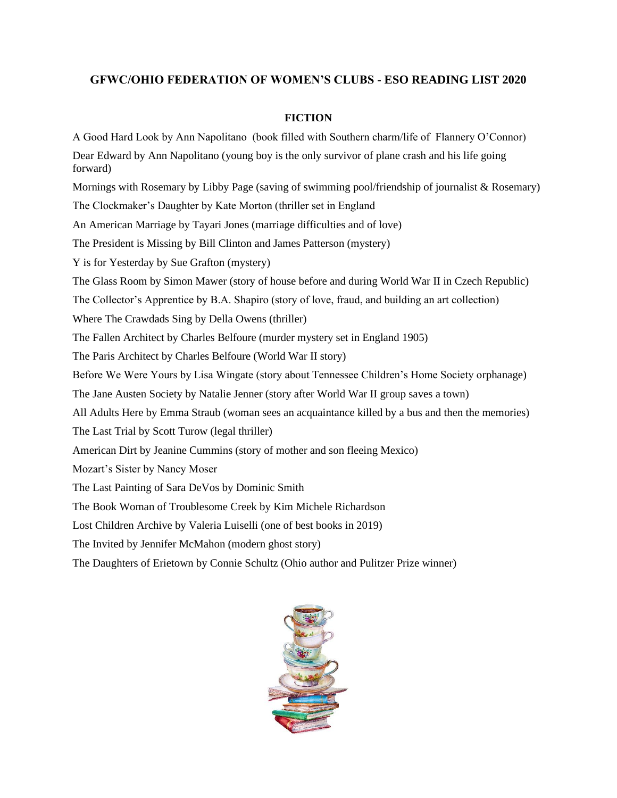## **GFWC/OHIO FEDERATION OF WOMEN'S CLUBS - ESO READING LIST 2020**

## **FICTION**

A Good Hard Look by Ann Napolitano (book filled with Southern charm/life of Flannery O'Connor) Dear Edward by Ann Napolitano (young boy is the only survivor of plane crash and his life going forward) Mornings with Rosemary by Libby Page (saving of swimming pool/friendship of journalist & Rosemary) The Clockmaker's Daughter by Kate Morton (thriller set in England An American Marriage by Tayari Jones (marriage difficulties and of love) The President is Missing by Bill Clinton and James Patterson (mystery) Y is for Yesterday by Sue Grafton (mystery) The Glass Room by Simon Mawer (story of house before and during World War II in Czech Republic) The Collector's Apprentice by B.A. Shapiro (story of love, fraud, and building an art collection) Where The Crawdads Sing by Della Owens (thriller) The Fallen Architect by Charles Belfoure (murder mystery set in England 1905) The Paris Architect by Charles Belfoure (World War II story) Before We Were Yours by Lisa Wingate (story about Tennessee Children's Home Society orphanage) The Jane Austen Society by Natalie Jenner (story after World War II group saves a town) All Adults Here by Emma Straub (woman sees an acquaintance killed by a bus and then the memories) The Last Trial by Scott Turow (legal thriller) American Dirt by Jeanine Cummins (story of mother and son fleeing Mexico) Mozart's Sister by Nancy Moser The Last Painting of Sara DeVos by Dominic Smith The Book Woman of Troublesome Creek by Kim Michele Richardson Lost Children Archive by Valeria Luiselli (one of best books in 2019) The Invited by Jennifer McMahon (modern ghost story) The Daughters of Erietown by Connie Schultz (Ohio author and Pulitzer Prize winner)